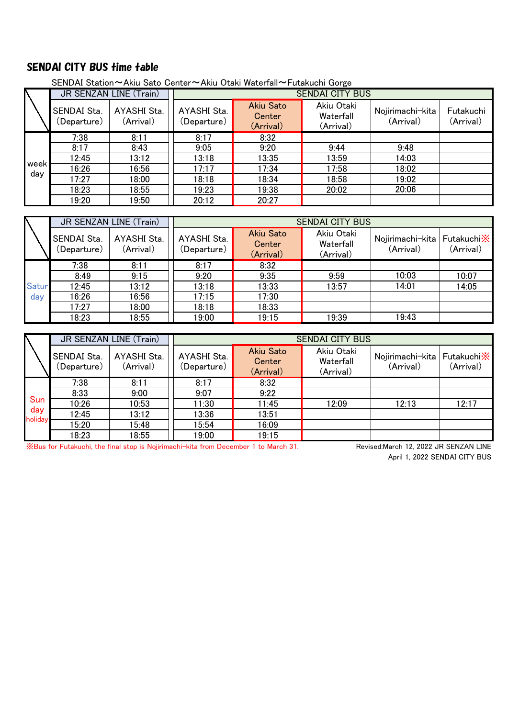## SENDAI CITY BUS time table

|      | $1.114$ vacue volton<br>1.11<br>$1$ acaing of $11$ and $150$ |                          |                            |                                         |                                      |                               |                        |  |  |
|------|--------------------------------------------------------------|--------------------------|----------------------------|-----------------------------------------|--------------------------------------|-------------------------------|------------------------|--|--|
|      | JR SENZAN LINE (Train)                                       |                          | <b>SENDAI CITY BUS</b>     |                                         |                                      |                               |                        |  |  |
|      | SENDAI Sta.<br>(Departure)                                   | AYASHI Sta.<br>(Arrival) | AYASHI Sta.<br>(Departure) | <b>Akiu Sato</b><br>Center<br>(Arrival) | Akiu Otaki<br>Waterfall<br>(Arrival) | Nojirimachi-kita<br>(Arrival) | Futakuchi<br>(Arrival) |  |  |
|      | 7:38                                                         | 8:11                     | 8:17                       | 8:32                                    |                                      |                               |                        |  |  |
|      | 8:17                                                         | 8:43                     | 9:05                       | 9:20                                    | 9:44                                 | 9:48                          |                        |  |  |
|      | 12:45                                                        | 13:12                    | 13:18                      | 13:35                                   | 13:59                                | 14:03                         |                        |  |  |
| week | 16:26                                                        | 16:56                    | 17:17                      | 17:34                                   | 17:58                                | 18:02                         |                        |  |  |
| day  | 17:27                                                        | 18:00                    | 18:18                      | 18:34                                   | 18:58                                | 19:02                         |                        |  |  |
|      | 18:23                                                        | 18:55                    | 19:23                      | 19:38                                   | 20:02                                | 20:06                         |                        |  |  |
|      | 19:20                                                        | 19:50                    | 20:12                      | 20:27                                   |                                      |                               |                        |  |  |

SENDAI Station~Akiu Sato Center~Akiu Otaki Waterfall~Futakuchi Gorge

|              | JR SENZAN LINE (Train)     |                          | <b>SENDAI CITY BUS</b>     |                                  |                                      |                               |                                 |  |
|--------------|----------------------------|--------------------------|----------------------------|----------------------------------|--------------------------------------|-------------------------------|---------------------------------|--|
|              | SENDAI Sta.<br>(Departure) | AYASHI Sta.<br>(Arrival) | AYASHI Sta.<br>(Departure) | Akiu Sato<br>Center<br>(Arrival) | Akiu Otaki<br>Waterfall<br>(Arrival) | Nojirimachi-kita<br>(Arrival) | Futakuchi <b>X</b><br>(Arrival) |  |
|              | 7:38                       | 8:11                     | 8:17                       | 8:32                             |                                      |                               |                                 |  |
|              | 8:49                       | 9:15                     | 9:20                       | 9:35                             | 9:59                                 | 10:03                         | 10:07                           |  |
| <b>Satur</b> | 12:45                      | 13:12                    | 13:18                      | 13:33                            | 13:57                                | 14:01                         | 14:05                           |  |
| day          | 16:26                      | 16:56                    | 17:15                      | 17:30                            |                                      |                               |                                 |  |
|              | 17:27                      | 18:00                    | 18:18                      | 18:33                            |                                      |                               |                                 |  |
|              | 18:23                      | 18:55                    | 19:00                      | 19:15                            | 19:39                                | 19:43                         |                                 |  |

|                       | JR SENZAN LINE (Train)     |                          | <b>SENDAI CITY BUS</b>     |                                         |                                      |                               |                          |  |
|-----------------------|----------------------------|--------------------------|----------------------------|-----------------------------------------|--------------------------------------|-------------------------------|--------------------------|--|
|                       | SENDAI Sta.<br>(Departure) | AYASHI Sta.<br>(Arrival) | AYASHI Sta.<br>(Departure) | <b>Akiu Sato</b><br>Center<br>(Arrival) | Akiu Otaki<br>Waterfall<br>(Arrival) | Nojirimachi-kita<br>(Arrival) | Futakuchi X<br>(Arrival) |  |
| Sun<br>day<br>holiday | 7:38                       | 8:11                     | 8:17                       | 8:32                                    |                                      |                               |                          |  |
|                       | 8:33                       | 9:00                     | 9:07                       | 9:22                                    |                                      |                               |                          |  |
|                       | 10:26                      | 10:53                    | 11:30                      | 11:45                                   | 12:09                                | 12:13                         | 12:17                    |  |
|                       | 12:45                      | 13:12                    | 13:36                      | 13:51                                   |                                      |                               |                          |  |
|                       | 15:20                      | 15:48                    | 15:54                      | 16:09                                   |                                      |                               |                          |  |
|                       | 18:23                      | 18:55                    | 19:00                      | 19:15                                   |                                      |                               |                          |  |

※Bus for Futakuchi, the final stop is Nojirimachi-kita from December 1 to March 31.

April 1, 2022 SENDAI CITY BUS Revised:March 12, 2022 JR SENZAN LINE